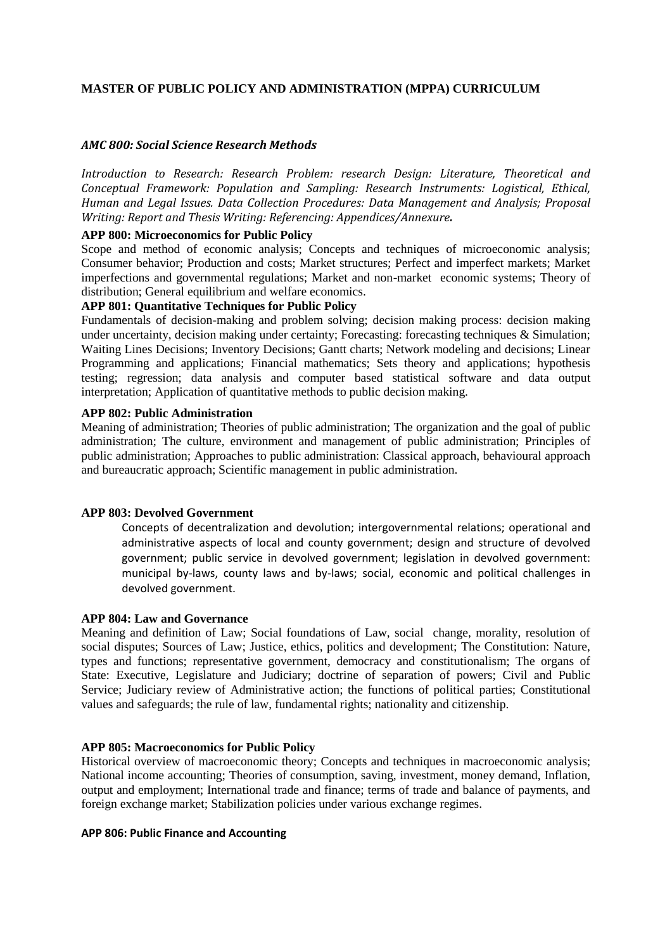## **MASTER OF PUBLIC POLICY AND ADMINISTRATION (MPPA) CURRICULUM**

## *AMC 800: Social Science Research Methods*

*Introduction to Research: Research Problem: research Design: Literature, Theoretical and Conceptual Framework: Population and Sampling: Research Instruments: Logistical, Ethical, Human and Legal Issues. Data Collection Procedures: Data Management and Analysis; Proposal Writing: Report and Thesis Writing: Referencing: Appendices/Annexure.*

### **APP 800: Microeconomics for Public Policy**

Scope and method of economic analysis; Concepts and techniques of microeconomic analysis; Consumer behavior; Production and costs; Market structures; Perfect and imperfect markets; Market imperfections and governmental regulations; Market and non-market economic systems; Theory of distribution: General equilibrium and welfare economics.

# **APP 801: Quantitative Techniques for Public Policy**

Fundamentals of decision-making and problem solving; decision making process: decision making under uncertainty, decision making under certainty; Forecasting: forecasting techniques & Simulation; Waiting Lines Decisions; Inventory Decisions; Gantt charts; Network modeling and decisions; Linear Programming and applications; Financial mathematics; Sets theory and applications; hypothesis testing; regression; data analysis and computer based statistical software and data output interpretation; Application of quantitative methods to public decision making.

#### **APP 802: Public Administration**

Meaning of administration; Theories of public administration; The organization and the goal of public administration; The culture, environment and management of public administration; Principles of public administration; Approaches to public administration: Classical approach, behavioural approach and bureaucratic approach; Scientific management in public administration.

#### **APP 803: Devolved Government**

Concepts of decentralization and devolution; intergovernmental relations; operational and administrative aspects of local and county government; design and structure of devolved government; public service in devolved government; legislation in devolved government: municipal by-laws, county laws and by-laws; social, economic and political challenges in devolved government.

#### **APP 804: Law and Governance**

Meaning and definition of Law; Social foundations of Law, social change, morality, resolution of social disputes; Sources of Law; Justice, ethics, politics and development; The Constitution: Nature, types and functions; representative government, democracy and constitutionalism; The organs of State: Executive, Legislature and Judiciary; doctrine of separation of powers; Civil and Public Service; Judiciary review of Administrative action; the functions of political parties; Constitutional values and safeguards; the rule of law, fundamental rights; nationality and citizenship.

### **APP 805: Macroeconomics for Public Policy**

Historical overview of macroeconomic theory; Concepts and techniques in macroeconomic analysis; National income accounting; Theories of consumption, saving, investment, money demand, Inflation, output and employment; International trade and finance; terms of trade and balance of payments, and foreign exchange market; Stabilization policies under various exchange regimes.

### **APP 806: Public Finance and Accounting**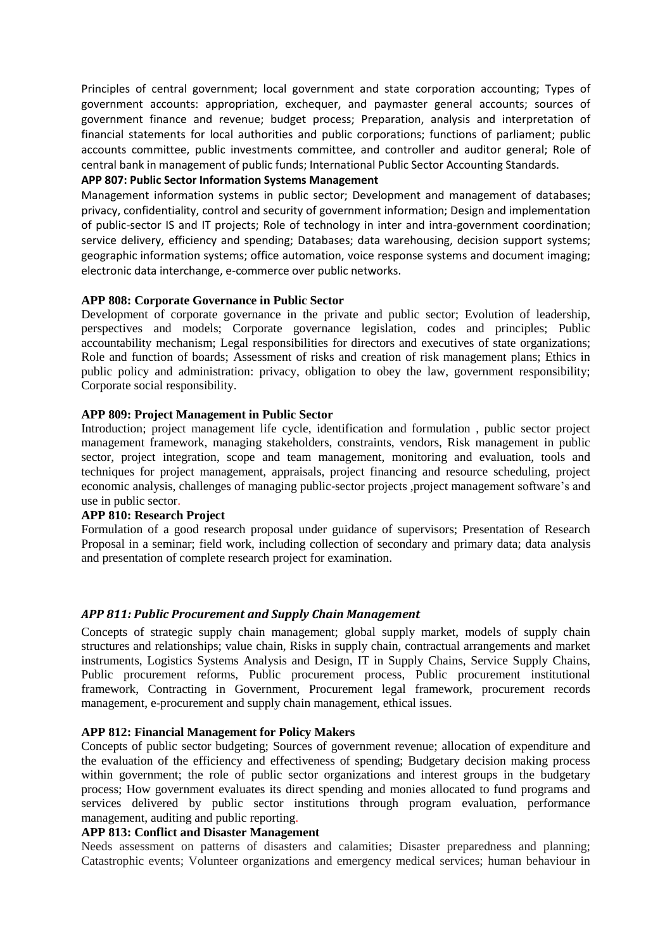Principles of central government; local government and state corporation accounting; Types of government accounts: appropriation, exchequer, and paymaster general accounts; sources of government finance and revenue; budget process; Preparation, analysis and interpretation of financial statements for local authorities and public corporations; functions of parliament; public accounts committee, public investments committee, and controller and auditor general; Role of central bank in management of public funds; International Public Sector Accounting Standards.

# **APP 807: Public Sector Information Systems Management**

Management information systems in public sector; Development and management of databases; privacy, confidentiality, control and security of government information; Design and implementation of public-sector IS and IT projects; Role of technology in inter and intra-government coordination; service delivery, efficiency and spending; Databases; data warehousing, decision support systems; geographic information systems; office automation, voice response systems and document imaging; electronic data interchange, e-commerce over public networks.

### **APP 808: Corporate Governance in Public Sector**

Development of corporate governance in the private and public sector; Evolution of leadership, perspectives and models; Corporate governance legislation, codes and principles; Public accountability mechanism; Legal responsibilities for directors and executives of state organizations; Role and function of boards; Assessment of risks and creation of risk management plans; Ethics in public policy and administration: privacy, obligation to obey the law, government responsibility; Corporate social responsibility.

### **APP 809: Project Management in Public Sector**

Introduction; project management life cycle, identification and formulation , public sector project management framework, managing stakeholders, constraints, vendors, Risk management in public sector, project integration, scope and team management, monitoring and evaluation, tools and techniques for project management, appraisals, project financing and resource scheduling, project economic analysis, challenges of managing public‐sector projects ,project management software's and use in public sector.

### **APP 810: Research Project**

Formulation of a good research proposal under guidance of supervisors; Presentation of Research Proposal in a seminar; field work, including collection of secondary and primary data; data analysis and presentation of complete research project for examination.

## *APP 811: Public Procurement and Supply Chain Management*

Concepts of strategic supply chain management; global supply market, models of supply chain structures and relationships; value chain, Risks in supply chain, contractual arrangements and market instruments, Logistics Systems Analysis and Design, IT in Supply Chains, Service Supply Chains, Public procurement reforms, Public procurement process, Public procurement institutional framework, Contracting in Government, Procurement legal framework, procurement records management, e-procurement and supply chain management, ethical issues.

#### **APP 812: Financial Management for Policy Makers**

Concepts of public sector budgeting; Sources of government revenue; allocation of expenditure and the evaluation of the efficiency and effectiveness of spending; Budgetary decision making process within government; the role of public sector organizations and interest groups in the budgetary process; How government evaluates its direct spending and monies allocated to fund programs and services delivered by public sector institutions through program evaluation, performance management, auditing and public reporting.

### **APP 813: Conflict and Disaster Management**

Needs assessment on patterns of disasters and calamities; Disaster preparedness and planning; Catastrophic events; Volunteer organizations and emergency medical services; human behaviour in